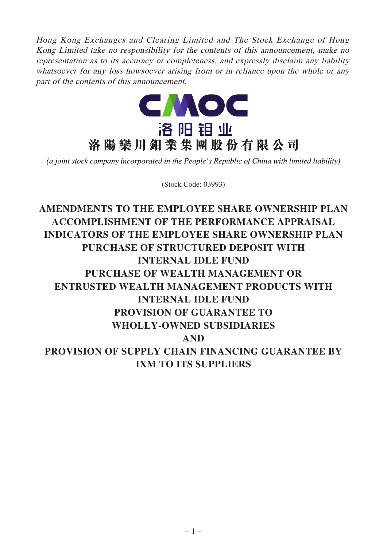Hong Kong Exchanges and Clearing Limited and The Stock Exchange of Hong Kong Limited take no responsibility for the contents of this announcement, make no representation as to its accuracy or completeness, and expressly disclaim any liability whatsoever for any loss howsoever arising from or in reliance upon the whole or any part of the contents of this announcement.



(a joint stock company incorporated in the People's Republic of China with limited liability)

(Stock Code: 03993)

**AMENDMENTS TO THE EMPLOYEE SHARE OWNERSHIP PLAN ACCOMPLISHMENT OF THE PERFORMANCE APPRAISAL INDICATORS OF THE EMPLOYEE SHARE OWNERSHIP PLAN PURCHASE OF STRUCTURED DEPOSIT WITH INTERNAL IDLE FUND PURCHASE OF WEALTH MANAGEMENT OR ENTRUSTED WEALTH MANAGEMENT PRODUCTS WITH INTERNAL IDLE FUND PROVISION OF GUARANTEE TO WHOLLY-OWNED SUBSIDIARIES AND PROVISION OF SUPPLY CHAIN FINANCING GUARANTEE BY IXM TO ITS SUPPLIERS**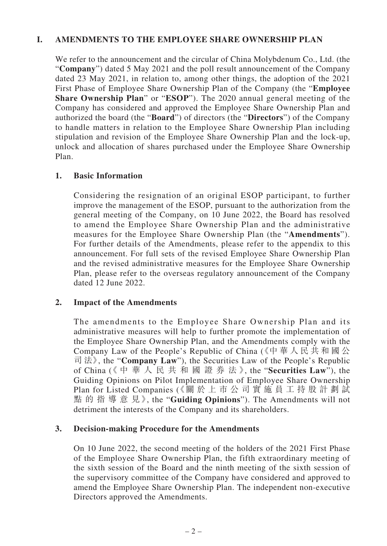## **I. AMENDMENTS TO THE EMPLOYEE SHARE OWNERSHIP PLAN**

We refer to the announcement and the circular of China Molybdenum Co., Ltd. (the "**Company**") dated 5 May 2021 and the poll result announcement of the Company dated 23 May 2021, in relation to, among other things, the adoption of the 2021 First Phase of Employee Share Ownership Plan of the Company (the "**Employee Share Ownership Plan**" or "**ESOP**"). The 2020 annual general meeting of the Company has considered and approved the Employee Share Ownership Plan and authorized the board (the "**Board**") of directors (the "**Directors**") of the Company to handle matters in relation to the Employee Share Ownership Plan including stipulation and revision of the Employee Share Ownership Plan and the lock-up, unlock and allocation of shares purchased under the Employee Share Ownership Plan.

#### **1. Basic Information**

Considering the resignation of an original ESOP participant, to further improve the management of the ESOP, pursuant to the authorization from the general meeting of the Company, on 10 June 2022, the Board has resolved to amend the Employee Share Ownership Plan and the administrative measures for the Employee Share Ownership Plan (the "**Amendments**"). For further details of the Amendments, please refer to the appendix to this announcement. For full sets of the revised Employee Share Ownership Plan and the revised administrative measures for the Employee Share Ownership Plan, please refer to the overseas regulatory announcement of the Company dated 12 June 2022.

#### **2. Impact of the Amendments**

The amendments to the Employee Share Ownership Plan and its administrative measures will help to further promote the implementation of the Employee Share Ownership Plan, and the Amendments comply with the Company Law of the People's Republic of China (《中華人民共和國公 司 法》, the "**Company Law**"), the Securities Law of the People's Republic of China (《中華人民共和國證券法》, the "**Securities Law**"), the Guiding Opinions on Pilot Implementation of Employee Share Ownership Plan for Listed Companies (《關 於 上 市 公 司 實 施 員 工 持 股 計 劃 試 點的指導意見》, the "**Guiding Opinions**"). The Amendments will not detriment the interests of the Company and its shareholders.

#### **3. Decision-making Procedure for the Amendments**

On 10 June 2022, the second meeting of the holders of the 2021 First Phase of the Employee Share Ownership Plan, the fifth extraordinary meeting of the sixth session of the Board and the ninth meeting of the sixth session of the supervisory committee of the Company have considered and approved to amend the Employee Share Ownership Plan. The independent non-executive Directors approved the Amendments.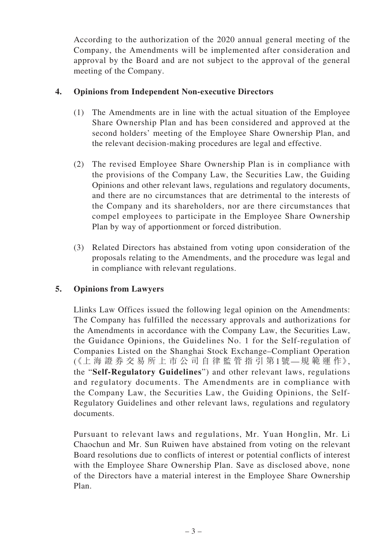According to the authorization of the 2020 annual general meeting of the Company, the Amendments will be implemented after consideration and approval by the Board and are not subject to the approval of the general meeting of the Company.

## **4. Opinions from Independent Non-executive Directors**

- (1) The Amendments are in line with the actual situation of the Employee Share Ownership Plan and has been considered and approved at the second holders' meeting of the Employee Share Ownership Plan, and the relevant decision-making procedures are legal and effective.
- (2) The revised Employee Share Ownership Plan is in compliance with the provisions of the Company Law, the Securities Law, the Guiding Opinions and other relevant laws, regulations and regulatory documents, and there are no circumstances that are detrimental to the interests of the Company and its shareholders, nor are there circumstances that compel employees to participate in the Employee Share Ownership Plan by way of apportionment or forced distribution.
- (3) Related Directors has abstained from voting upon consideration of the proposals relating to the Amendments, and the procedure was legal and in compliance with relevant regulations.

## **5. Opinions from Lawyers**

Llinks Law Offices issued the following legal opinion on the Amendments: The Company has fulfilled the necessary approvals and authorizations for the Amendments in accordance with the Company Law, the Securities Law, the Guidance Opinions, the Guidelines No. 1 for the Self-regulation of Companies Listed on the Shanghai Stock Exchange–Compliant Operation (《上 海 證 券 交 易 所 上 市 公 司 自 律 監 管 指 引 第1號—規 範 運 作》, the "**Self-Regulatory Guidelines**") and other relevant laws, regulations and regulatory documents. The Amendments are in compliance with the Company Law, the Securities Law, the Guiding Opinions, the Self-Regulatory Guidelines and other relevant laws, regulations and regulatory documents.

Pursuant to relevant laws and regulations, Mr. Yuan Honglin, Mr. Li Chaochun and Mr. Sun Ruiwen have abstained from voting on the relevant Board resolutions due to conflicts of interest or potential conflicts of interest with the Employee Share Ownership Plan. Save as disclosed above, none of the Directors have a material interest in the Employee Share Ownership Plan.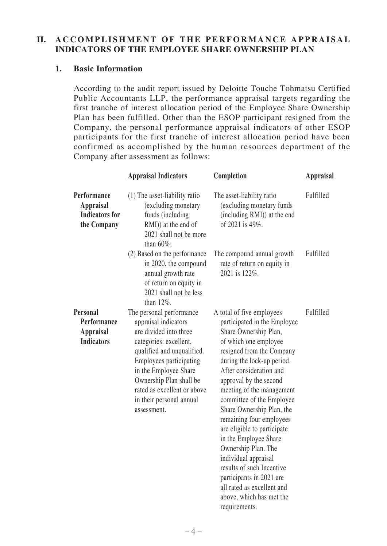## **II. A CCOMPLISHMENT OF THE PERFORMANCE APPRAISAL INDICATORS OF THE EMPLOYEE SHARE OWNERSHIP PLAN**

### **1. Basic Information**

According to the audit report issued by Deloitte Touche Tohmatsu Certified Public Accountants LLP, the performance appraisal targets regarding the first tranche of interest allocation period of the Employee Share Ownership Plan has been fulfilled. Other than the ESOP participant resigned from the Company, the personal performance appraisal indicators of other ESOP participants for the first tranche of interest allocation period have been confirmed as accomplished by the human resources department of the Company after assessment as follows:

| <b>Appraisal Indicators</b>                                                                                                                                                                                                                                                                 | Completion                                                                                                                                                                                                                                                                                                                                                                                                                                                                                                                                   | <b>Appraisal</b>                          |
|---------------------------------------------------------------------------------------------------------------------------------------------------------------------------------------------------------------------------------------------------------------------------------------------|----------------------------------------------------------------------------------------------------------------------------------------------------------------------------------------------------------------------------------------------------------------------------------------------------------------------------------------------------------------------------------------------------------------------------------------------------------------------------------------------------------------------------------------------|-------------------------------------------|
| $(1)$ The asset-liability ratio<br>(excluding monetary<br>funds (including<br>RMI)) at the end of<br>2021 shall not be more                                                                                                                                                                 | The asset-liability ratio<br>(excluding monetary funds)<br>(including RMI)) at the end<br>of 2021 is 49%.                                                                                                                                                                                                                                                                                                                                                                                                                                    | Fulfilled                                 |
| (2) Based on the performance<br>in 2020, the compound<br>annual growth rate<br>of return on equity in<br>2021 shall not be less<br>than $12\%$ .                                                                                                                                            | The compound annual growth<br>rate of return on equity in<br>2021 is 122%.                                                                                                                                                                                                                                                                                                                                                                                                                                                                   | Fulfilled                                 |
| The personal performance<br>appraisal indicators<br>are divided into three<br>categories: excellent,<br>qualified and unqualified.<br>Employees participating<br>in the Employee Share<br>Ownership Plan shall be<br>rated as excellent or above<br>in their personal annual<br>assessment. | A total of five employees<br>participated in the Employee<br>Share Ownership Plan,<br>of which one employee<br>resigned from the Company<br>during the lock-up period.<br>After consideration and<br>approval by the second<br>meeting of the management<br>committee of the Employee<br>Share Ownership Plan, the<br>remaining four employees<br>are eligible to participate<br>in the Employee Share<br>Ownership Plan. The<br>individual appraisal<br>results of such Incentive<br>participants in 2021 are<br>all rated as excellent and | Fulfilled                                 |
|                                                                                                                                                                                                                                                                                             | than 60%;                                                                                                                                                                                                                                                                                                                                                                                                                                                                                                                                    | above, which has met the<br>requirements. |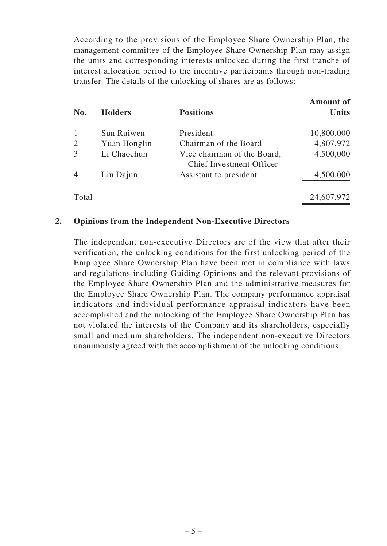According to the provisions of the Employee Share Ownership Plan, the management committee of the Employee Share Ownership Plan may assign the units and corresponding interests unlocked during the first tranche of interest allocation period to the incentive participants through non-trading transfer. The details of the unlocking of shares are as follows:

| No.            | <b>Holders</b> | <b>Positions</b>                                               | <b>Amount of</b><br><b>Units</b> |
|----------------|----------------|----------------------------------------------------------------|----------------------------------|
|                | Sun Ruiwen     | President                                                      | 10,800,000                       |
| 2              | Yuan Honglin   | Chairman of the Board                                          | 4,807,972                        |
| 3              | Li Chaochun    | Vice chairman of the Board,<br><b>Chief Investment Officer</b> | 4,500,000                        |
| $\overline{4}$ | Liu Dajun      | Assistant to president                                         | 4,500,000                        |
| Total          |                |                                                                | 24,607,972                       |

#### **2. Opinions from the Independent Non-Executive Directors**

The independent non-executive Directors are of the view that after their verification, the unlocking conditions for the first unlocking period of the Employee Share Ownership Plan have been met in compliance with laws and regulations including Guiding Opinions and the relevant provisions of the Employee Share Ownership Plan and the administrative measures for the Employee Share Ownership Plan. The company performance appraisal indicators and individual performance appraisal indicators have been accomplished and the unlocking of the Employee Share Ownership Plan has not violated the interests of the Company and its shareholders, especially small and medium shareholders. The independent non-executive Directors unanimously agreed with the accomplishment of the unlocking conditions.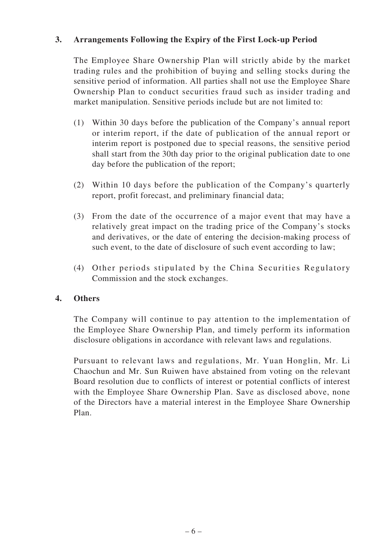## **3. Arrangements Following the Expiry of the First Lock-up Period**

The Employee Share Ownership Plan will strictly abide by the market trading rules and the prohibition of buying and selling stocks during the sensitive period of information. All parties shall not use the Employee Share Ownership Plan to conduct securities fraud such as insider trading and market manipulation. Sensitive periods include but are not limited to:

- (1) Within 30 days before the publication of the Company's annual report or interim report, if the date of publication of the annual report or interim report is postponed due to special reasons, the sensitive period shall start from the 30th day prior to the original publication date to one day before the publication of the report;
- (2) Within 10 days before the publication of the Company's quarterly report, profit forecast, and preliminary financial data;
- (3) From the date of the occurrence of a major event that may have a relatively great impact on the trading price of the Company's stocks and derivatives, or the date of entering the decision-making process of such event, to the date of disclosure of such event according to law;
- (4) Other periods stipulated by the China Securities Regulatory Commission and the stock exchanges.

## **4. Others**

The Company will continue to pay attention to the implementation of the Employee Share Ownership Plan, and timely perform its information disclosure obligations in accordance with relevant laws and regulations.

Pursuant to relevant laws and regulations, Mr. Yuan Honglin, Mr. Li Chaochun and Mr. Sun Ruiwen have abstained from voting on the relevant Board resolution due to conflicts of interest or potential conflicts of interest with the Employee Share Ownership Plan. Save as disclosed above, none of the Directors have a material interest in the Employee Share Ownership Plan.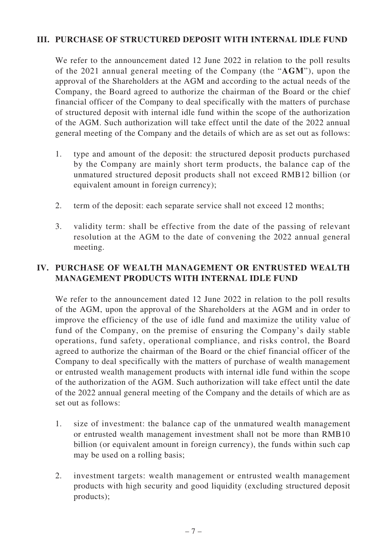## **III. PURCHASE OF STRUCTURED DEPOSIT WITH INTERNAL IDLE FUND**

We refer to the announcement dated 12 June 2022 in relation to the poll results of the 2021 annual general meeting of the Company (the "**AGM**"), upon the approval of the Shareholders at the AGM and according to the actual needs of the Company, the Board agreed to authorize the chairman of the Board or the chief financial officer of the Company to deal specifically with the matters of purchase of structured deposit with internal idle fund within the scope of the authorization of the AGM. Such authorization will take effect until the date of the 2022 annual general meeting of the Company and the details of which are as set out as follows:

- 1. type and amount of the deposit: the structured deposit products purchased by the Company are mainly short term products, the balance cap of the unmatured structured deposit products shall not exceed RMB12 billion (or equivalent amount in foreign currency);
- 2. term of the deposit: each separate service shall not exceed 12 months;
- 3. validity term: shall be effective from the date of the passing of relevant resolution at the AGM to the date of convening the 2022 annual general meeting.

## **IV. PURCHASE OF WEALTH MANAGEMENT OR ENTRUSTED WEALTH MANAGEMENT PRODUCTS WITH INTERNAL IDLE FUND**

We refer to the announcement dated 12 June 2022 in relation to the poll results of the AGM, upon the approval of the Shareholders at the AGM and in order to improve the efficiency of the use of idle fund and maximize the utility value of fund of the Company, on the premise of ensuring the Company's daily stable operations, fund safety, operational compliance, and risks control, the Board agreed to authorize the chairman of the Board or the chief financial officer of the Company to deal specifically with the matters of purchase of wealth management or entrusted wealth management products with internal idle fund within the scope of the authorization of the AGM. Such authorization will take effect until the date of the 2022 annual general meeting of the Company and the details of which are as set out as follows:

- 1. size of investment: the balance cap of the unmatured wealth management or entrusted wealth management investment shall not be more than RMB10 billion (or equivalent amount in foreign currency), the funds within such cap may be used on a rolling basis;
- 2. investment targets: wealth management or entrusted wealth management products with high security and good liquidity (excluding structured deposit products);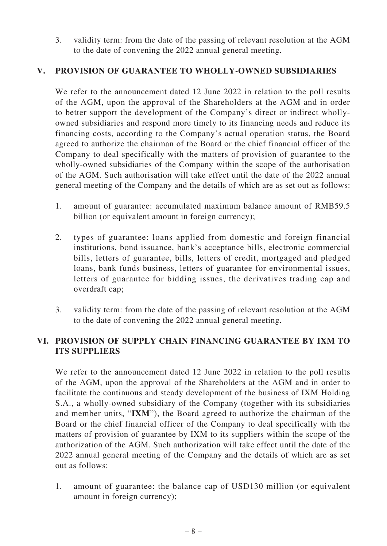3. validity term: from the date of the passing of relevant resolution at the AGM to the date of convening the 2022 annual general meeting.

## **V. PROVISION OF GUARANTEE TO WHOLLY-OWNED SUBSIDIARIES**

We refer to the announcement dated 12 June 2022 in relation to the poll results of the AGM, upon the approval of the Shareholders at the AGM and in order to better support the development of the Company's direct or indirect whollyowned subsidiaries and respond more timely to its financing needs and reduce its financing costs, according to the Company's actual operation status, the Board agreed to authorize the chairman of the Board or the chief financial officer of the Company to deal specifically with the matters of provision of guarantee to the wholly-owned subsidiaries of the Company within the scope of the authorisation of the AGM. Such authorisation will take effect until the date of the 2022 annual general meeting of the Company and the details of which are as set out as follows:

- 1. amount of guarantee: accumulated maximum balance amount of RMB59.5 billion (or equivalent amount in foreign currency);
- 2. types of guarantee: loans applied from domestic and foreign financial institutions, bond issuance, bank's acceptance bills, electronic commercial bills, letters of guarantee, bills, letters of credit, mortgaged and pledged loans, bank funds business, letters of guarantee for environmental issues, letters of guarantee for bidding issues, the derivatives trading cap and overdraft cap;
- 3. validity term: from the date of the passing of relevant resolution at the AGM to the date of convening the 2022 annual general meeting.

## **VI. PROVISION OF SUPPLY CHAIN FINANCING GUARANTEE BY IXM TO ITS SUPPLIERS**

We refer to the announcement dated 12 June 2022 in relation to the poll results of the AGM, upon the approval of the Shareholders at the AGM and in order to facilitate the continuous and steady development of the business of IXM Holding S.A., a wholly-owned subsidiary of the Company (together with its subsidiaries and member units, "**IXM**"), the Board agreed to authorize the chairman of the Board or the chief financial officer of the Company to deal specifically with the matters of provision of guarantee by IXM to its suppliers within the scope of the authorization of the AGM. Such authorization will take effect until the date of the 2022 annual general meeting of the Company and the details of which are as set out as follows:

1. amount of guarantee: the balance cap of USD130 million (or equivalent amount in foreign currency);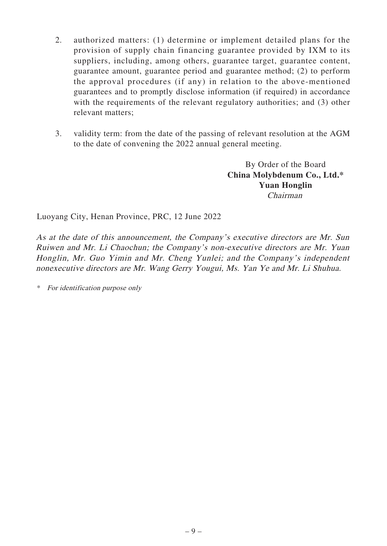- 2. authorized matters: (1) determine or implement detailed plans for the provision of supply chain financing guarantee provided by IXM to its suppliers, including, among others, guarantee target, guarantee content, guarantee amount, guarantee period and guarantee method; (2) to perform the approval procedures (if any) in relation to the above-mentioned guarantees and to promptly disclose information (if required) in accordance with the requirements of the relevant regulatory authorities; and (3) other relevant matters;
- 3. validity term: from the date of the passing of relevant resolution at the AGM to the date of convening the 2022 annual general meeting.

By Order of the Board **China Molybdenum Co., Ltd.\* Yuan Honglin** Chairman

Luoyang City, Henan Province, PRC, 12 June 2022

As at the date of this announcement, the Company's executive directors are Mr. Sun Ruiwen and Mr. Li Chaochun; the Company's non-executive directors are Mr. Yuan Honglin, Mr. Guo Yimin and Mr. Cheng Yunlei; and the Company's independent nonexecutive directors are Mr. Wang Gerry Yougui, Ms. Yan Ye and Mr. Li Shuhua.

\* For identification purpose only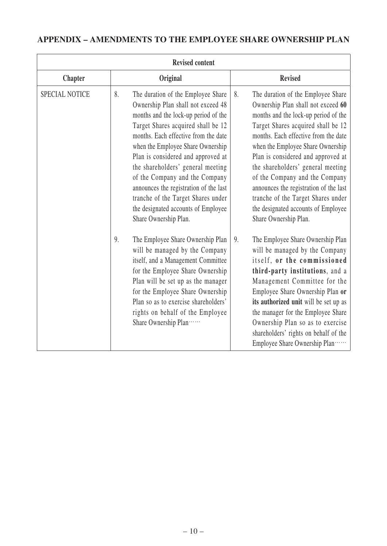# **APPENDIX – AMENDMENTS TO THE EMPLOYEE SHARE OWNERSHIP PLAN**

| <b>Revised content</b> |                                                                                                                                                                                                                                                                                                                                                                                                                                                                                                                                                                                                                                                                                                                                                                                                                                             |                                                                                                                                                                                                                                                                                                                                                                                                                                                                                                                                                                                                                                                                                                                                                                                                                                                                                       |  |  |  |
|------------------------|---------------------------------------------------------------------------------------------------------------------------------------------------------------------------------------------------------------------------------------------------------------------------------------------------------------------------------------------------------------------------------------------------------------------------------------------------------------------------------------------------------------------------------------------------------------------------------------------------------------------------------------------------------------------------------------------------------------------------------------------------------------------------------------------------------------------------------------------|---------------------------------------------------------------------------------------------------------------------------------------------------------------------------------------------------------------------------------------------------------------------------------------------------------------------------------------------------------------------------------------------------------------------------------------------------------------------------------------------------------------------------------------------------------------------------------------------------------------------------------------------------------------------------------------------------------------------------------------------------------------------------------------------------------------------------------------------------------------------------------------|--|--|--|
| <b>Chapter</b>         | Original                                                                                                                                                                                                                                                                                                                                                                                                                                                                                                                                                                                                                                                                                                                                                                                                                                    | <b>Revised</b>                                                                                                                                                                                                                                                                                                                                                                                                                                                                                                                                                                                                                                                                                                                                                                                                                                                                        |  |  |  |
| SPECIAL NOTICE         | 8.<br>The duration of the Employee Share<br>Ownership Plan shall not exceed 48<br>months and the lock-up period of the<br>Target Shares acquired shall be 12<br>months. Each effective from the date<br>when the Employee Share Ownership<br>Plan is considered and approved at<br>the shareholders' general meeting<br>of the Company and the Company<br>announces the registration of the last<br>tranche of the Target Shares under<br>the designated accounts of Employee<br>Share Ownership Plan.<br>The Employee Share Ownership Plan<br>9.<br>will be managed by the Company<br>itself, and a Management Committee<br>for the Employee Share Ownership<br>Plan will be set up as the manager<br>for the Employee Share Ownership<br>Plan so as to exercise shareholders'<br>rights on behalf of the Employee<br>Share Ownership Plan | 8.<br>The duration of the Employee Share<br>Ownership Plan shall not exceed 60<br>months and the lock-up period of the<br>Target Shares acquired shall be 12<br>months. Each effective from the date<br>when the Employee Share Ownership<br>Plan is considered and approved at<br>the shareholders' general meeting<br>of the Company and the Company<br>announces the registration of the last<br>tranche of the Target Shares under<br>the designated accounts of Employee<br>Share Ownership Plan.<br>9.<br>The Employee Share Ownership Plan<br>will be managed by the Company<br>itself, or the commissioned<br>third-party institutions, and a<br>Management Committee for the<br>Employee Share Ownership Plan or<br>its authorized unit will be set up as<br>the manager for the Employee Share<br>Ownership Plan so as to exercise<br>shareholders' rights on behalf of the |  |  |  |
|                        |                                                                                                                                                                                                                                                                                                                                                                                                                                                                                                                                                                                                                                                                                                                                                                                                                                             | Employee Share Ownership Plan                                                                                                                                                                                                                                                                                                                                                                                                                                                                                                                                                                                                                                                                                                                                                                                                                                                         |  |  |  |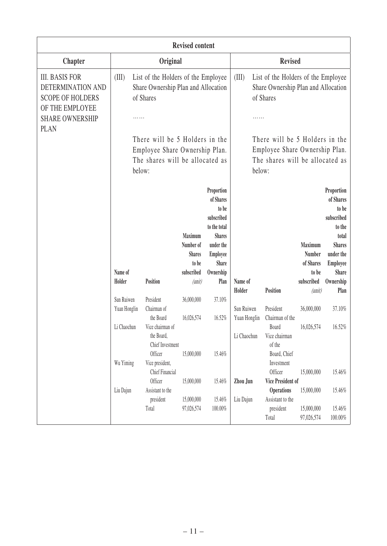|                                                                                                                                   | <b>Revised content</b>                                                                                        |                                                                            |                                                |                                                                                                                                 |                                                                                                     |                                                                     |                                       |                                                                                                                    |
|-----------------------------------------------------------------------------------------------------------------------------------|---------------------------------------------------------------------------------------------------------------|----------------------------------------------------------------------------|------------------------------------------------|---------------------------------------------------------------------------------------------------------------------------------|-----------------------------------------------------------------------------------------------------|---------------------------------------------------------------------|---------------------------------------|--------------------------------------------------------------------------------------------------------------------|
| <b>Chapter</b>                                                                                                                    |                                                                                                               | Original                                                                   |                                                |                                                                                                                                 |                                                                                                     | <b>Revised</b>                                                      |                                       |                                                                                                                    |
| <b>III. BASIS FOR</b><br>DETERMINATION AND<br><b>SCOPE OF HOLDERS</b><br>OF THE EMPLOYEE<br><b>SHARE OWNERSHIP</b><br><b>PLAN</b> | (III)<br>List of the Holders of the Employee<br>Share Ownership Plan and Allocation<br>of Shares              |                                                                            |                                                | (III)<br>List of the Holders of the Employee<br>Share Ownership Plan and Allocation<br>of Shares                                |                                                                                                     |                                                                     |                                       |                                                                                                                    |
|                                                                                                                                   | There will be 5 Holders in the<br>Employee Share Ownership Plan.<br>The shares will be allocated as<br>below: |                                                                            |                                                | below:                                                                                                                          | There will be 5 Holders in the<br>Employee Share Ownership Plan.<br>The shares will be allocated as |                                                                     |                                       |                                                                                                                    |
|                                                                                                                                   |                                                                                                               |                                                                            | Maximum<br>Number of<br><b>Shares</b><br>to be | Proportion<br>of Shares<br>to be<br>subscribed<br>to the total<br><b>Shares</b><br>under the<br><b>Employee</b><br><b>Share</b> |                                                                                                     |                                                                     | Maximum<br><b>Number</b><br>of Shares | Proportion<br>of Shares<br>to be<br>subscribed<br>to the<br>total<br><b>Shares</b><br>under the<br><b>Employee</b> |
|                                                                                                                                   | Name of<br>Holder                                                                                             | Position                                                                   | subscribed<br>(unit)                           | Ownership<br>Plan                                                                                                               | Name of                                                                                             |                                                                     | to be<br>subscribed                   | <b>Share</b><br>Ownership                                                                                          |
|                                                                                                                                   |                                                                                                               |                                                                            |                                                |                                                                                                                                 | Holder                                                                                              | Position                                                            | (unit)                                | Plan                                                                                                               |
|                                                                                                                                   | Sun Ruiwen<br>Yuan Honglin                                                                                    | President<br>Chairman of                                                   | 36,000,000                                     | 37.10%                                                                                                                          | Sun Ruiwen                                                                                          | President                                                           | 36,000,000                            | 37.10%                                                                                                             |
|                                                                                                                                   | Li Chaochun                                                                                                   | the Board<br>Vice chairman of<br>the Board,<br>Chief Investment<br>Officer | 16,026,574<br>15,000,000                       | 16.52%<br>15.46%                                                                                                                | Yuan Honglin<br>Li Chaochun                                                                         | Chairman of the<br>Board<br>Vice chairman<br>of the<br>Board, Chief | 16,026,574                            | 16.52%                                                                                                             |
|                                                                                                                                   | Wu Yiming                                                                                                     | Vice president,<br>Chief Financial                                         |                                                |                                                                                                                                 |                                                                                                     | Investment<br>Officer                                               | 15,000,000                            | 15.46%                                                                                                             |
|                                                                                                                                   | Liu Dajun                                                                                                     | Officer<br>Assistant to the                                                | 15,000,000                                     | 15.46%                                                                                                                          | Zhou Jun                                                                                            | Vice President of<br><b>Operations</b>                              | 15,000,000                            | 15.46%                                                                                                             |
|                                                                                                                                   |                                                                                                               | president<br>Total                                                         | 15,000,000<br>97,026,574                       | 15.46%<br>100.00%                                                                                                               | Liu Dajun                                                                                           | Assistant to the<br>president<br>Total                              | 15,000,000<br>97,026,574              | 15.46%<br>$100.00\%$                                                                                               |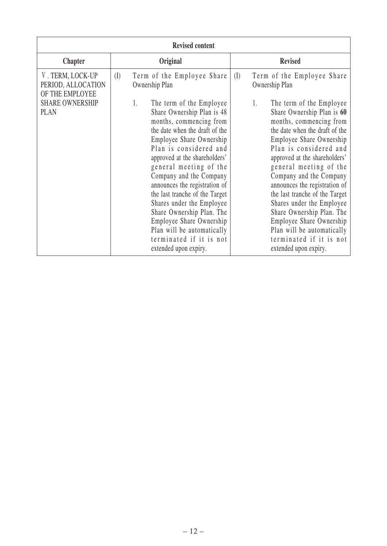| <b>Revised content</b>                                                                             |                                                                                                                                                                                                                                                                                                                                                                                                                                                                                                                                                                         |                                                                                                                                                                                                                                                                                                                                                                                                                                                                                                                                                                         |  |  |  |  |  |
|----------------------------------------------------------------------------------------------------|-------------------------------------------------------------------------------------------------------------------------------------------------------------------------------------------------------------------------------------------------------------------------------------------------------------------------------------------------------------------------------------------------------------------------------------------------------------------------------------------------------------------------------------------------------------------------|-------------------------------------------------------------------------------------------------------------------------------------------------------------------------------------------------------------------------------------------------------------------------------------------------------------------------------------------------------------------------------------------------------------------------------------------------------------------------------------------------------------------------------------------------------------------------|--|--|--|--|--|
| <b>Chapter</b>                                                                                     | Original                                                                                                                                                                                                                                                                                                                                                                                                                                                                                                                                                                | <b>Revised</b>                                                                                                                                                                                                                                                                                                                                                                                                                                                                                                                                                          |  |  |  |  |  |
| V. TERM, LOCK-UP<br>PERIOD, ALLOCATION<br>OF THE EMPLOYEE<br><b>SHARE OWNERSHIP</b><br><b>PLAN</b> | (I)<br>Term of the Employee Share<br>Ownership Plan<br>1.<br>The term of the Employee<br>Share Ownership Plan is 48<br>months, commencing from<br>the date when the draft of the<br>Employee Share Ownership<br>Plan is considered and<br>approved at the shareholders'<br>general meeting of the<br>Company and the Company<br>announces the registration of<br>the last tranche of the Target<br>Shares under the Employee<br>Share Ownership Plan. The<br>Employee Share Ownership<br>Plan will be automatically<br>terminated if it is not<br>extended upon expiry. | (I)<br>Term of the Employee Share<br>Ownership Plan<br>1.<br>The term of the Employee<br>Share Ownership Plan is 60<br>months, commencing from<br>the date when the draft of the<br>Employee Share Ownership<br>Plan is considered and<br>approved at the shareholders'<br>general meeting of the<br>Company and the Company<br>announces the registration of<br>the last tranche of the Target<br>Shares under the Employee<br>Share Ownership Plan. The<br>Employee Share Ownership<br>Plan will be automatically<br>terminated if it is not<br>extended upon expiry. |  |  |  |  |  |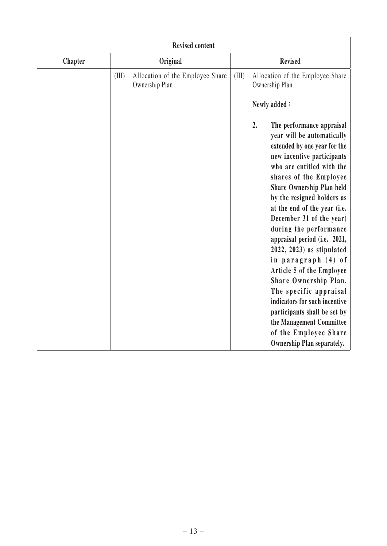|                | <b>Revised content</b>                                      |                                                                                                                                                                                                                                                                                                                                                                                                                                                                                                                                                                                                                                                                              |  |  |  |  |  |
|----------------|-------------------------------------------------------------|------------------------------------------------------------------------------------------------------------------------------------------------------------------------------------------------------------------------------------------------------------------------------------------------------------------------------------------------------------------------------------------------------------------------------------------------------------------------------------------------------------------------------------------------------------------------------------------------------------------------------------------------------------------------------|--|--|--|--|--|
| <b>Chapter</b> | Original                                                    | <b>Revised</b>                                                                                                                                                                                                                                                                                                                                                                                                                                                                                                                                                                                                                                                               |  |  |  |  |  |
|                | (III)<br>Allocation of the Employee Share<br>Ownership Plan | (III)<br>Allocation of the Employee Share<br>Ownership Plan                                                                                                                                                                                                                                                                                                                                                                                                                                                                                                                                                                                                                  |  |  |  |  |  |
|                |                                                             | Newly added:                                                                                                                                                                                                                                                                                                                                                                                                                                                                                                                                                                                                                                                                 |  |  |  |  |  |
|                |                                                             | 2.<br>The performance appraisal<br>year will be automatically<br>extended by one year for the<br>new incentive participants<br>who are entitled with the<br>shares of the Employee<br><b>Share Ownership Plan held</b><br>by the resigned holders as<br>at the end of the year (i.e.<br>December 31 of the year)<br>during the performance<br>appraisal period (i.e. 2021,<br>$2022, 2023$ ) as stipulated<br>in paragraph (4) of<br>Article 5 of the Employee<br>Share Ownership Plan.<br>The specific appraisal<br>indicators for such incentive<br>participants shall be set by<br>the Management Committee<br>of the Employee Share<br><b>Ownership Plan separately.</b> |  |  |  |  |  |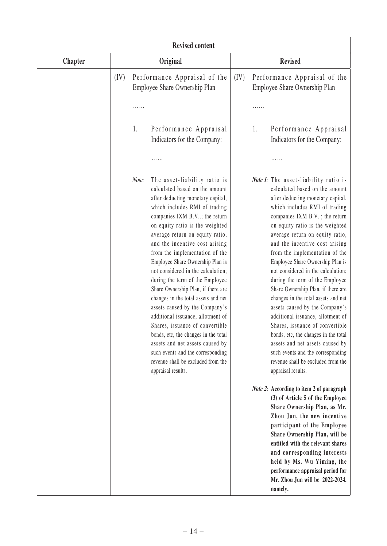| <b>Revised content</b> |                                                                                                                                                                                                                                                                                                                                                                                                                                                                                                                                                                                                                                                                                                                                                                                                          |                                                                                                                                                                                                                                                                                                                                                                                                                                                                                                                                                                                                                                                                                                                                                                                                                |  |  |  |  |  |
|------------------------|----------------------------------------------------------------------------------------------------------------------------------------------------------------------------------------------------------------------------------------------------------------------------------------------------------------------------------------------------------------------------------------------------------------------------------------------------------------------------------------------------------------------------------------------------------------------------------------------------------------------------------------------------------------------------------------------------------------------------------------------------------------------------------------------------------|----------------------------------------------------------------------------------------------------------------------------------------------------------------------------------------------------------------------------------------------------------------------------------------------------------------------------------------------------------------------------------------------------------------------------------------------------------------------------------------------------------------------------------------------------------------------------------------------------------------------------------------------------------------------------------------------------------------------------------------------------------------------------------------------------------------|--|--|--|--|--|
| <b>Chapter</b>         | Original                                                                                                                                                                                                                                                                                                                                                                                                                                                                                                                                                                                                                                                                                                                                                                                                 | <b>Revised</b>                                                                                                                                                                                                                                                                                                                                                                                                                                                                                                                                                                                                                                                                                                                                                                                                 |  |  |  |  |  |
|                        | Performance Appraisal of the<br>(IV)<br>Employee Share Ownership Plan                                                                                                                                                                                                                                                                                                                                                                                                                                                                                                                                                                                                                                                                                                                                    | (IV)<br>Performance Appraisal of the<br>Employee Share Ownership Plan                                                                                                                                                                                                                                                                                                                                                                                                                                                                                                                                                                                                                                                                                                                                          |  |  |  |  |  |
|                        |                                                                                                                                                                                                                                                                                                                                                                                                                                                                                                                                                                                                                                                                                                                                                                                                          |                                                                                                                                                                                                                                                                                                                                                                                                                                                                                                                                                                                                                                                                                                                                                                                                                |  |  |  |  |  |
|                        | 1.<br>Performance Appraisal<br>Indicators for the Company:                                                                                                                                                                                                                                                                                                                                                                                                                                                                                                                                                                                                                                                                                                                                               | Performance Appraisal<br>1.<br>Indicators for the Company:                                                                                                                                                                                                                                                                                                                                                                                                                                                                                                                                                                                                                                                                                                                                                     |  |  |  |  |  |
|                        |                                                                                                                                                                                                                                                                                                                                                                                                                                                                                                                                                                                                                                                                                                                                                                                                          |                                                                                                                                                                                                                                                                                                                                                                                                                                                                                                                                                                                                                                                                                                                                                                                                                |  |  |  |  |  |
|                        | Note:<br>The asset-liability ratio is<br>calculated based on the amount<br>after deducting monetary capital,<br>which includes RMI of trading<br>companies IXM B.V; the return<br>on equity ratio is the weighted<br>average return on equity ratio,<br>and the incentive cost arising<br>from the implementation of the<br>Employee Share Ownership Plan is<br>not considered in the calculation;<br>during the term of the Employee<br>Share Ownership Plan, if there are<br>changes in the total assets and net<br>assets caused by the Company's<br>additional issuance, allotment of<br>Shares, issuance of convertible<br>bonds, etc, the changes in the total<br>assets and net assets caused by<br>such events and the corresponding<br>revenue shall be excluded from the<br>appraisal results. | <b>Note 1:</b> The asset-liability ratio is<br>calculated based on the amount<br>after deducting monetary capital,<br>which includes RMI of trading<br>companies IXM B.V; the return<br>on equity ratio is the weighted<br>average return on equity ratio,<br>and the incentive cost arising<br>from the implementation of the<br>Employee Share Ownership Plan is<br>not considered in the calculation;<br>during the term of the Employee<br>Share Ownership Plan, if there are<br>changes in the total assets and net<br>assets caused by the Company's<br>additional issuance, allotment of<br>Shares, issuance of convertible<br>bonds, etc, the changes in the total<br>assets and net assets caused by<br>such events and the corresponding<br>revenue shall be excluded from the<br>appraisal results. |  |  |  |  |  |
|                        |                                                                                                                                                                                                                                                                                                                                                                                                                                                                                                                                                                                                                                                                                                                                                                                                          | <i>Note 2:</i> According to item 2 of paragraph<br>(3) of Article 5 of the Employee<br>Share Ownership Plan, as Mr.<br>Zhou Jun, the new incentive<br>participant of the Employee<br>Share Ownership Plan, will be<br>entitled with the relevant shares<br>and corresponding interests<br>held by Ms. Wu Yiming, the<br>performance appraisal period for<br>Mr. Zhou Jun will be 2022-2024,<br>namely.                                                                                                                                                                                                                                                                                                                                                                                                         |  |  |  |  |  |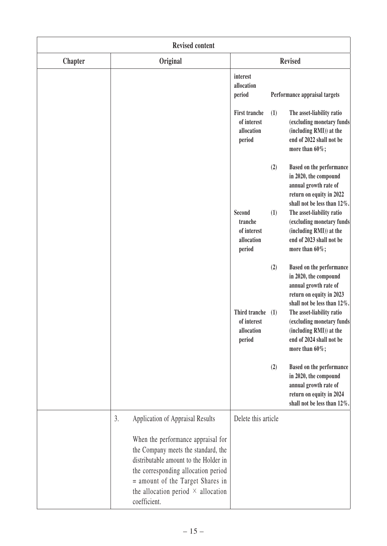| <b>Revised content</b> |                                                                                                                                                                                                                                                            |                                                                    |                                                                                                                                       |  |  |  |
|------------------------|------------------------------------------------------------------------------------------------------------------------------------------------------------------------------------------------------------------------------------------------------------|--------------------------------------------------------------------|---------------------------------------------------------------------------------------------------------------------------------------|--|--|--|
| <b>Chapter</b>         | Original                                                                                                                                                                                                                                                   | <b>Revised</b>                                                     |                                                                                                                                       |  |  |  |
|                        |                                                                                                                                                                                                                                                            | interest<br>allocation<br>period                                   | Performance appraisal targets                                                                                                         |  |  |  |
|                        |                                                                                                                                                                                                                                                            | <b>First tranche</b><br>(1)<br>of interest<br>allocation<br>period | The asset-liability ratio<br>(excluding monetary funds<br>(including RMI)) at the<br>end of 2022 shall not be<br>more than $60\%$ ;   |  |  |  |
|                        |                                                                                                                                                                                                                                                            | (2)                                                                | Based on the performance<br>in 2020, the compound<br>annual growth rate of<br>return on equity in 2022<br>shall not be less than 12%. |  |  |  |
|                        |                                                                                                                                                                                                                                                            | Second<br>(1)<br>tranche<br>of interest<br>allocation<br>period    | The asset-liability ratio<br>(excluding monetary funds<br>(including RMI)) at the<br>end of 2023 shall not be<br>more than $60\%$ ;   |  |  |  |
|                        |                                                                                                                                                                                                                                                            | (2)                                                                | Based on the performance<br>in 2020, the compound<br>annual growth rate of<br>return on equity in 2023<br>shall not be less than 12%. |  |  |  |
|                        |                                                                                                                                                                                                                                                            | Third tranche<br>(1)<br>of interest<br>allocation<br>period        | The asset-liability ratio<br>(excluding monetary funds<br>(including RMI)) at the<br>end of 2024 shall not be<br>more than $60\%$ ;   |  |  |  |
|                        |                                                                                                                                                                                                                                                            | (2)                                                                | Based on the performance<br>in 2020, the compound<br>annual growth rate of<br>return on equity in 2024<br>shall not be less than 12%. |  |  |  |
|                        | Application of Appraisal Results<br>3.                                                                                                                                                                                                                     | Delete this article                                                |                                                                                                                                       |  |  |  |
|                        | When the performance appraisal for<br>the Company meets the standard, the<br>distributable amount to the Holder in<br>the corresponding allocation period<br>= amount of the Target Shares in<br>the allocation period $\times$ allocation<br>coefficient. |                                                                    |                                                                                                                                       |  |  |  |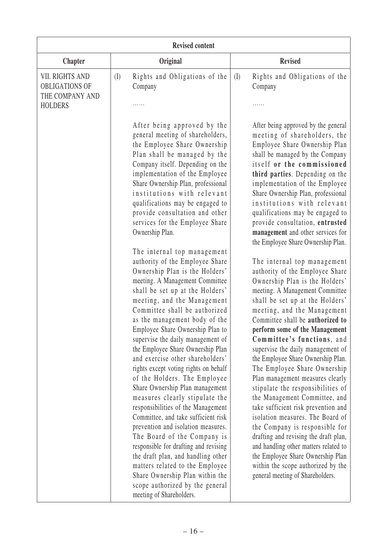| Original<br>Rights and Obligations of the<br>(I)<br>Company<br>After being approved by the<br>general meeting of shareholders,<br>the Employee Share Ownership<br>Plan shall be managed by the<br>Company itself. Depending on the<br>implementation of the Employee<br>Share Ownership Plan, professional<br>institutions with relevant<br>qualifications may be engaged to<br>provide consultation and other                                                                                                                                                                                                                                                                                                                                                                        | <b>Revised</b><br>Rights and Obligations of the<br>(I)<br>Company<br>After being approved by the general<br>meeting of shareholders, the<br>Employee Share Ownership Plan<br>shall be managed by the Company<br>itself or the commissioned<br>third parties. Depending on the<br>implementation of the Employee<br>Share Ownership Plan, professional<br>institutions with relevant                                                                                                                                                                                                                                                                                                                                                                                                                                                                                             |
|---------------------------------------------------------------------------------------------------------------------------------------------------------------------------------------------------------------------------------------------------------------------------------------------------------------------------------------------------------------------------------------------------------------------------------------------------------------------------------------------------------------------------------------------------------------------------------------------------------------------------------------------------------------------------------------------------------------------------------------------------------------------------------------|---------------------------------------------------------------------------------------------------------------------------------------------------------------------------------------------------------------------------------------------------------------------------------------------------------------------------------------------------------------------------------------------------------------------------------------------------------------------------------------------------------------------------------------------------------------------------------------------------------------------------------------------------------------------------------------------------------------------------------------------------------------------------------------------------------------------------------------------------------------------------------|
|                                                                                                                                                                                                                                                                                                                                                                                                                                                                                                                                                                                                                                                                                                                                                                                       |                                                                                                                                                                                                                                                                                                                                                                                                                                                                                                                                                                                                                                                                                                                                                                                                                                                                                 |
|                                                                                                                                                                                                                                                                                                                                                                                                                                                                                                                                                                                                                                                                                                                                                                                       |                                                                                                                                                                                                                                                                                                                                                                                                                                                                                                                                                                                                                                                                                                                                                                                                                                                                                 |
|                                                                                                                                                                                                                                                                                                                                                                                                                                                                                                                                                                                                                                                                                                                                                                                       |                                                                                                                                                                                                                                                                                                                                                                                                                                                                                                                                                                                                                                                                                                                                                                                                                                                                                 |
| Ownership Plan.<br>The internal top management<br>authority of the Employee Share<br>Ownership Plan is the Holders'<br>meeting. A Management Committee<br>shall be set up at the Holders'<br>meeting, and the Management<br>Committee shall be authorized<br>as the management body of the<br>Employee Share Ownership Plan to<br>supervise the daily management of<br>the Employee Share Ownership Plan<br>and exercise other shareholders'<br>rights except voting rights on behalf<br>of the Holders. The Employee<br>Share Ownership Plan management<br>measures clearly stipulate the<br>responsibilities of the Management<br>Committee, and take sufficient risk<br>prevention and isolation measures.<br>The Board of the Company is<br>responsible for drafting and revising | qualifications may be engaged to<br>provide consultation, entrusted<br>management and other services for<br>the Employee Share Ownership Plan.<br>The internal top management<br>authority of the Employee Share<br>Ownership Plan is the Holders'<br>meeting. A Management Committee<br>shall be set up at the Holders'<br>meeting, and the Management<br>Committee shall be authorized to<br>perform some of the Management<br>Committee's functions, and<br>supervise the daily management of<br>the Employee Share Ownership Plan.<br>The Employee Share Ownership<br>Plan management measures clearly<br>stipulate the responsibilities of<br>the Management Committee, and<br>take sufficient risk prevention and<br>isolation measures. The Board of<br>the Company is responsible for<br>drafting and revising the draft plan,<br>and handling other matters related to |
| matters related to the Employee<br>Share Ownership Plan within the<br>scope authorized by the general                                                                                                                                                                                                                                                                                                                                                                                                                                                                                                                                                                                                                                                                                 | the Employee Share Ownership Plan<br>within the scope authorized by the<br>general meeting of Shareholders.                                                                                                                                                                                                                                                                                                                                                                                                                                                                                                                                                                                                                                                                                                                                                                     |
|                                                                                                                                                                                                                                                                                                                                                                                                                                                                                                                                                                                                                                                                                                                                                                                       | services for the Employee Share<br>the draft plan, and handling other<br>meeting of Shareholders.                                                                                                                                                                                                                                                                                                                                                                                                                                                                                                                                                                                                                                                                                                                                                                               |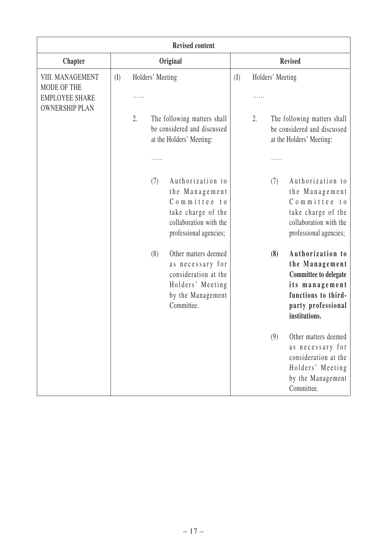| <b>Revised content</b>                                                            |                 |                  |                                                                                                                                                      |     |    |                  |                                                                                                                                                  |
|-----------------------------------------------------------------------------------|-----------------|------------------|------------------------------------------------------------------------------------------------------------------------------------------------------|-----|----|------------------|--------------------------------------------------------------------------------------------------------------------------------------------------|
| <b>Chapter</b>                                                                    | <b>Original</b> |                  |                                                                                                                                                      |     |    |                  | <b>Revised</b>                                                                                                                                   |
| VIII. MANAGEMENT<br>MODE OF THE<br><b>EMPLOYEE SHARE</b><br><b>OWNERSHIP PLAN</b> | (I)             | Holders' Meeting |                                                                                                                                                      | (I) | .  | Holders' Meeting |                                                                                                                                                  |
|                                                                                   |                 | 2.               | The following matters shall<br>be considered and discussed<br>at the Holders' Meeting:                                                               |     | 2. |                  | The following matters shall<br>be considered and discussed<br>at the Holders' Meeting:                                                           |
|                                                                                   |                 | .                |                                                                                                                                                      |     |    |                  |                                                                                                                                                  |
|                                                                                   |                 | (7)<br>(8)       | Authorization to<br>the Management<br>Committee to<br>take charge of the<br>collaboration with the<br>professional agencies;<br>Other matters deemed |     |    | (7)<br>(8)       | Authorization to<br>the Management<br>Committee to<br>take charge of the<br>collaboration with the<br>professional agencies;<br>Authorization to |
|                                                                                   |                 |                  | as necessary for<br>consideration at the<br>Holders' Meeting<br>by the Management<br>Committee.                                                      |     |    |                  | the Management<br><b>Committee to delegate</b><br>its management<br>functions to third-<br>party professional<br>institutions.                   |
|                                                                                   |                 |                  |                                                                                                                                                      |     |    | (9)              | Other matters deemed<br>as necessary for<br>consideration at the<br>Holders' Meeting<br>by the Management<br>Committee.                          |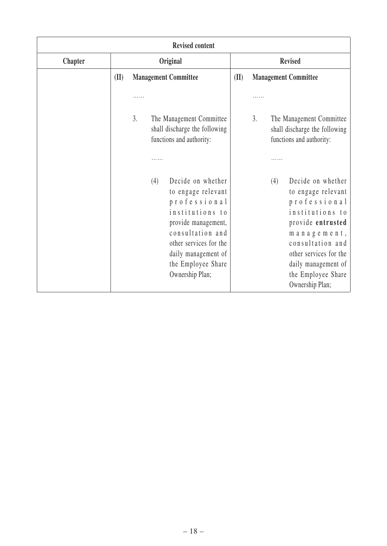| <b>Revised content</b> |                                     |                |                                                                                                                                                                                                                                                                                                          |      |    |     |                                                                                                                                                                                                                                                                                                                       |
|------------------------|-------------------------------------|----------------|----------------------------------------------------------------------------------------------------------------------------------------------------------------------------------------------------------------------------------------------------------------------------------------------------------|------|----|-----|-----------------------------------------------------------------------------------------------------------------------------------------------------------------------------------------------------------------------------------------------------------------------------------------------------------------------|
| <b>Chapter</b>         | Original                            |                |                                                                                                                                                                                                                                                                                                          |      |    |     | <b>Revised</b>                                                                                                                                                                                                                                                                                                        |
|                        | (II)<br><b>Management Committee</b> |                |                                                                                                                                                                                                                                                                                                          | (II) |    |     | <b>Management Committee</b>                                                                                                                                                                                                                                                                                           |
|                        |                                     | .<br>3.<br>(4) | The Management Committee<br>shall discharge the following<br>functions and authority:<br>Decide on whether<br>to engage relevant<br>professional<br>institutions to<br>provide management,<br>consultation and<br>other services for the<br>daily management of<br>the Employee Share<br>Ownership Plan; |      | 3. | (4) | The Management Committee<br>shall discharge the following<br>functions and authority:<br>Decide on whether<br>to engage relevant<br>professional<br>institutions to<br>provide entrusted<br>management,<br>consultation and<br>other services for the<br>daily management of<br>the Employee Share<br>Ownership Plan; |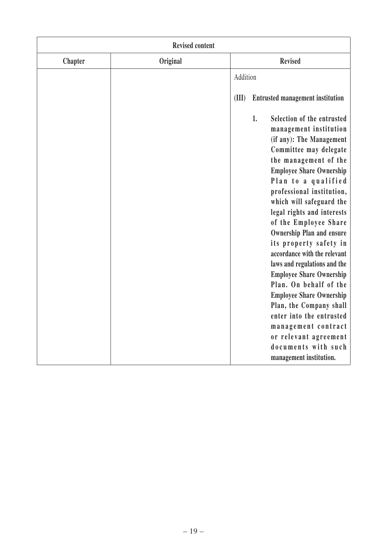| <b>Revised content</b> |          |                                                                                                                                                                                                                                                                                                                                                                                                                                                                                                                                                                                                                                                                                                            |  |  |  |  |  |
|------------------------|----------|------------------------------------------------------------------------------------------------------------------------------------------------------------------------------------------------------------------------------------------------------------------------------------------------------------------------------------------------------------------------------------------------------------------------------------------------------------------------------------------------------------------------------------------------------------------------------------------------------------------------------------------------------------------------------------------------------------|--|--|--|--|--|
| <b>Chapter</b>         | Original | <b>Revised</b>                                                                                                                                                                                                                                                                                                                                                                                                                                                                                                                                                                                                                                                                                             |  |  |  |  |  |
|                        |          | Addition                                                                                                                                                                                                                                                                                                                                                                                                                                                                                                                                                                                                                                                                                                   |  |  |  |  |  |
|                        |          | <b>Entrusted management institution</b><br>(III)                                                                                                                                                                                                                                                                                                                                                                                                                                                                                                                                                                                                                                                           |  |  |  |  |  |
|                        |          | Selection of the entrusted<br>1.<br>management institution<br>(if any): The Management<br>Committee may delegate<br>the management of the<br><b>Employee Share Ownership</b><br>Plan to a qualified<br>professional institution,<br>which will safeguard the<br>legal rights and interests<br>of the Employee Share<br><b>Ownership Plan and ensure</b><br>its property safety in<br>accordance with the relevant<br>laws and regulations and the<br><b>Employee Share Ownership</b><br>Plan. On behalf of the<br><b>Employee Share Ownership</b><br>Plan, the Company shall<br>enter into the entrusted<br>management contract<br>or relevant agreement<br>documents with such<br>management institution. |  |  |  |  |  |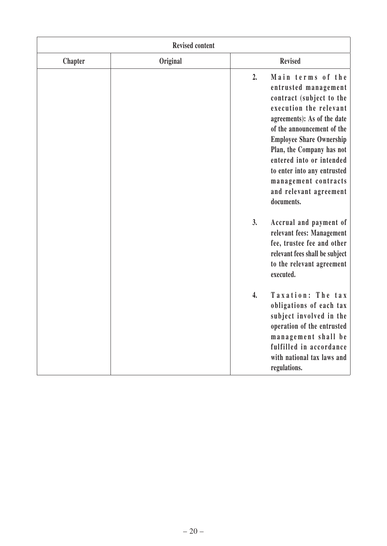| <b>Revised content</b> |          |                    |                                                                                                                                                                                                                                                                                                                                                         |
|------------------------|----------|--------------------|---------------------------------------------------------------------------------------------------------------------------------------------------------------------------------------------------------------------------------------------------------------------------------------------------------------------------------------------------------|
| <b>Chapter</b>         | Original |                    | <b>Revised</b>                                                                                                                                                                                                                                                                                                                                          |
|                        |          | 2.                 | Main terms of the<br>entrusted management<br>contract (subject to the<br>execution the relevant<br>agreements): As of the date<br>of the announcement of the<br><b>Employee Share Ownership</b><br>Plan, the Company has not<br>entered into or intended<br>to enter into any entrusted<br>management contracts<br>and relevant agreement<br>documents. |
|                        |          | 3.                 | Accrual and payment of<br>relevant fees: Management<br>fee, trustee fee and other<br>relevant fees shall be subject<br>to the relevant agreement<br>executed.                                                                                                                                                                                           |
|                        |          | $\boldsymbol{4}$ . | Taxation: The tax<br>obligations of each tax<br>subject involved in the<br>operation of the entrusted<br>management shall be<br>fulfilled in accordance<br>with national tax laws and<br>regulations.                                                                                                                                                   |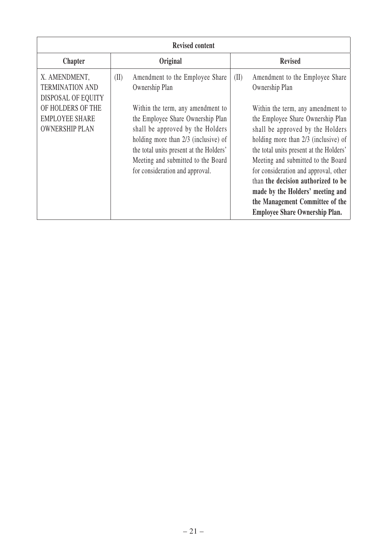| <b>Revised content</b>                                                                                                               |                                                                                                                                                                                                                                                                                                                                     |                                                                                                                                                                                                                                                                                                                                                                                                                                                        |  |
|--------------------------------------------------------------------------------------------------------------------------------------|-------------------------------------------------------------------------------------------------------------------------------------------------------------------------------------------------------------------------------------------------------------------------------------------------------------------------------------|--------------------------------------------------------------------------------------------------------------------------------------------------------------------------------------------------------------------------------------------------------------------------------------------------------------------------------------------------------------------------------------------------------------------------------------------------------|--|
| <b>Chapter</b>                                                                                                                       | Original                                                                                                                                                                                                                                                                                                                            | <b>Revised</b>                                                                                                                                                                                                                                                                                                                                                                                                                                         |  |
| X. AMENDMENT,<br><b>TERMINATION AND</b><br>DISPOSAL OF EQUITY<br>OF HOLDERS OF THE<br><b>EMPLOYEE SHARE</b><br><b>OWNERSHIP PLAN</b> | Amendment to the Employee Share<br>(II)<br>Ownership Plan<br>Within the term, any amendment to<br>the Employee Share Ownership Plan<br>shall be approved by the Holders<br>holding more than 2/3 (inclusive) of<br>the total units present at the Holders'<br>Meeting and submitted to the Board<br>for consideration and approval. | (II)<br>Amendment to the Employee Share<br>Ownership Plan<br>Within the term, any amendment to<br>the Employee Share Ownership Plan<br>shall be approved by the Holders<br>holding more than 2/3 (inclusive) of<br>the total units present at the Holders'<br>Meeting and submitted to the Board<br>for consideration and approval, other<br>than the decision authorized to be<br>made by the Holders' meeting and<br>the Management Committee of the |  |
|                                                                                                                                      |                                                                                                                                                                                                                                                                                                                                     | <b>Employee Share Ownership Plan.</b>                                                                                                                                                                                                                                                                                                                                                                                                                  |  |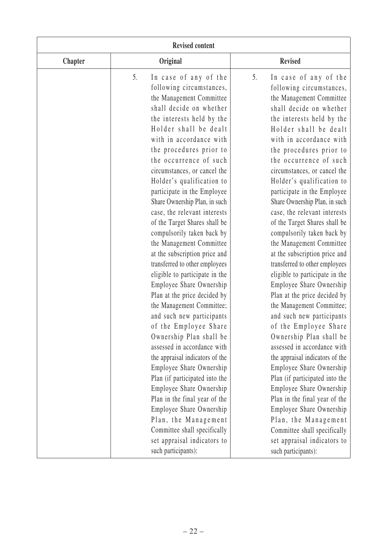| <b>Revised content</b> |    |                                                                                                                                                                                                                                                                                                                                                                                                                                                                                                                                                                                                                                                                                                                                                                                                                                                                                                                                                                                                                |    |                                                                                                                                                                                                                                                                                                                                                                                                                                                                                                                                                                                                                                                                                                                                                                                                                                                                                                                                                                                                                |
|------------------------|----|----------------------------------------------------------------------------------------------------------------------------------------------------------------------------------------------------------------------------------------------------------------------------------------------------------------------------------------------------------------------------------------------------------------------------------------------------------------------------------------------------------------------------------------------------------------------------------------------------------------------------------------------------------------------------------------------------------------------------------------------------------------------------------------------------------------------------------------------------------------------------------------------------------------------------------------------------------------------------------------------------------------|----|----------------------------------------------------------------------------------------------------------------------------------------------------------------------------------------------------------------------------------------------------------------------------------------------------------------------------------------------------------------------------------------------------------------------------------------------------------------------------------------------------------------------------------------------------------------------------------------------------------------------------------------------------------------------------------------------------------------------------------------------------------------------------------------------------------------------------------------------------------------------------------------------------------------------------------------------------------------------------------------------------------------|
| <b>Chapter</b>         |    | Original                                                                                                                                                                                                                                                                                                                                                                                                                                                                                                                                                                                                                                                                                                                                                                                                                                                                                                                                                                                                       |    | <b>Revised</b>                                                                                                                                                                                                                                                                                                                                                                                                                                                                                                                                                                                                                                                                                                                                                                                                                                                                                                                                                                                                 |
|                        | 5. | In case of any of the<br>following circumstances,<br>the Management Committee<br>shall decide on whether<br>the interests held by the<br>Holder shall be dealt<br>with in accordance with<br>the procedures prior to<br>the occurrence of such<br>circumstances, or cancel the<br>Holder's qualification to<br>participate in the Employee<br>Share Ownership Plan, in such<br>case, the relevant interests<br>of the Target Shares shall be<br>compulsorily taken back by<br>the Management Committee<br>at the subscription price and<br>transferred to other employees<br>eligible to participate in the<br>Employee Share Ownership<br>Plan at the price decided by<br>the Management Committee;<br>and such new participants<br>of the Employee Share<br>Ownership Plan shall be<br>assessed in accordance with<br>the appraisal indicators of the<br>Employee Share Ownership<br>Plan (if participated into the<br>Employee Share Ownership<br>Plan in the final year of the<br>Employee Share Ownership | 5. | In case of any of the<br>following circumstances,<br>the Management Committee<br>shall decide on whether<br>the interests held by the<br>Holder shall be dealt<br>with in accordance with<br>the procedures prior to<br>the occurrence of such<br>circumstances, or cancel the<br>Holder's qualification to<br>participate in the Employee<br>Share Ownership Plan, in such<br>case, the relevant interests<br>of the Target Shares shall be<br>compulsorily taken back by<br>the Management Committee<br>at the subscription price and<br>transferred to other employees<br>eligible to participate in the<br>Employee Share Ownership<br>Plan at the price decided by<br>the Management Committee;<br>and such new participants<br>of the Employee Share<br>Ownership Plan shall be<br>assessed in accordance with<br>the appraisal indicators of the<br>Employee Share Ownership<br>Plan (if participated into the<br>Employee Share Ownership<br>Plan in the final year of the<br>Employee Share Ownership |
|                        |    | Plan, the Management<br>Committee shall specifically<br>set appraisal indicators to<br>such participants):                                                                                                                                                                                                                                                                                                                                                                                                                                                                                                                                                                                                                                                                                                                                                                                                                                                                                                     |    | Plan, the Management<br>Committee shall specifically<br>set appraisal indicators to<br>such participants):                                                                                                                                                                                                                                                                                                                                                                                                                                                                                                                                                                                                                                                                                                                                                                                                                                                                                                     |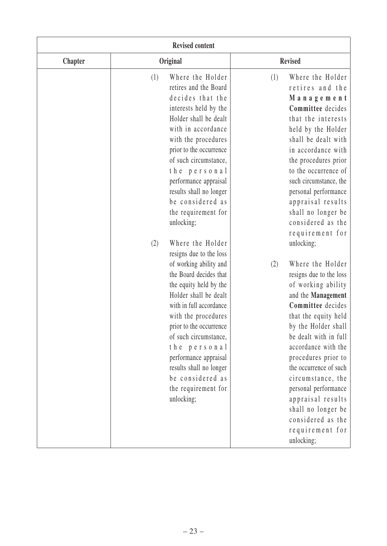| <b>Revised content</b> |                                                                                                                                                                                                                                                                                                                                                                                                                                                                                                                                                                                                                                                                                                                                                      |                                                                                                                                                                                                                                                                                                                                                                                                                                                                                                                                                                                                                                                                                                                                                               |
|------------------------|------------------------------------------------------------------------------------------------------------------------------------------------------------------------------------------------------------------------------------------------------------------------------------------------------------------------------------------------------------------------------------------------------------------------------------------------------------------------------------------------------------------------------------------------------------------------------------------------------------------------------------------------------------------------------------------------------------------------------------------------------|---------------------------------------------------------------------------------------------------------------------------------------------------------------------------------------------------------------------------------------------------------------------------------------------------------------------------------------------------------------------------------------------------------------------------------------------------------------------------------------------------------------------------------------------------------------------------------------------------------------------------------------------------------------------------------------------------------------------------------------------------------------|
| <b>Chapter</b>         | Original                                                                                                                                                                                                                                                                                                                                                                                                                                                                                                                                                                                                                                                                                                                                             | <b>Revised</b>                                                                                                                                                                                                                                                                                                                                                                                                                                                                                                                                                                                                                                                                                                                                                |
|                        | Where the Holder<br>(1)<br>retires and the Board<br>decides that the<br>interests held by the<br>Holder shall be dealt<br>with in accordance<br>with the procedures<br>prior to the occurrence<br>of such circumstance,<br>the personal<br>performance appraisal<br>results shall no longer<br>be considered as<br>the requirement for<br>unlocking;<br>Where the Holder<br>(2)<br>resigns due to the loss<br>of working ability and<br>the Board decides that<br>the equity held by the<br>Holder shall be dealt<br>with in full accordance<br>with the procedures<br>prior to the occurrence<br>of such circumstance,<br>the personal<br>performance appraisal<br>results shall no longer<br>be considered as<br>the requirement for<br>unlocking; | Where the Holder<br>(1)<br>retires and the<br>Management<br>Committee decides<br>that the interests<br>held by the Holder<br>shall be dealt with<br>in accordance with<br>the procedures prior<br>to the occurrence of<br>such circumstance, the<br>personal performance<br>appraisal results<br>shall no longer be<br>considered as the<br>requirement for<br>unlocking;<br>Where the Holder<br>(2)<br>resigns due to the loss<br>of working ability<br>and the Management<br>Committee decides<br>that the equity held<br>by the Holder shall<br>be dealt with in full<br>accordance with the<br>procedures prior to<br>the occurrence of such<br>circumstance, the<br>personal performance<br>appraisal results<br>shall no longer be<br>considered as the |
|                        |                                                                                                                                                                                                                                                                                                                                                                                                                                                                                                                                                                                                                                                                                                                                                      | requirement for<br>unlocking;                                                                                                                                                                                                                                                                                                                                                                                                                                                                                                                                                                                                                                                                                                                                 |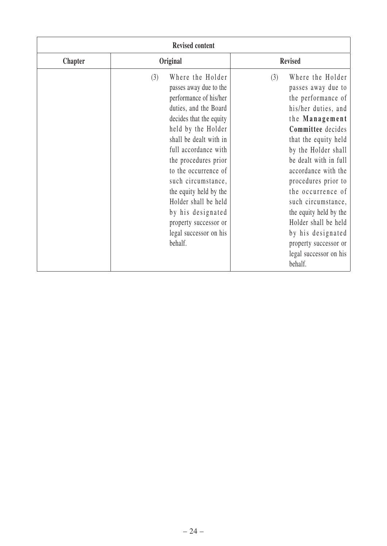| <b>Revised content</b> |                                                                                                                                                                                                                                                                                                                                                                                                                    |                                                                                                                                                                                                                                                                                                                                                                                                                                         |
|------------------------|--------------------------------------------------------------------------------------------------------------------------------------------------------------------------------------------------------------------------------------------------------------------------------------------------------------------------------------------------------------------------------------------------------------------|-----------------------------------------------------------------------------------------------------------------------------------------------------------------------------------------------------------------------------------------------------------------------------------------------------------------------------------------------------------------------------------------------------------------------------------------|
| <b>Chapter</b>         | Original                                                                                                                                                                                                                                                                                                                                                                                                           | <b>Revised</b>                                                                                                                                                                                                                                                                                                                                                                                                                          |
|                        | Where the Holder<br>(3)<br>passes away due to the<br>performance of his/her<br>duties, and the Board<br>decides that the equity<br>held by the Holder<br>shall be dealt with in<br>full accordance with<br>the procedures prior<br>to the occurrence of<br>such circumstance,<br>the equity held by the<br>Holder shall be held<br>by his designated<br>property successor or<br>legal successor on his<br>behalf. | Where the Holder<br>(3)<br>passes away due to<br>the performance of<br>his/her duties, and<br>the Management<br>Committee decides<br>that the equity held<br>by the Holder shall<br>be dealt with in full<br>accordance with the<br>procedures prior to<br>the occurrence of<br>such circumstance,<br>the equity held by the<br>Holder shall be held<br>by his designated<br>property successor or<br>legal successor on his<br>behalf. |